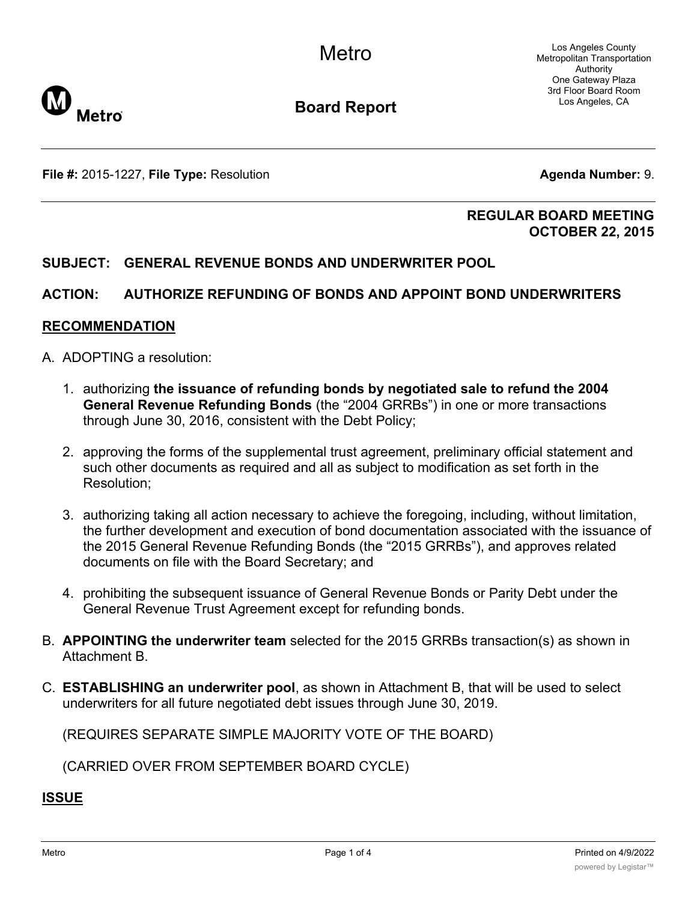Los Angeles County Metropolitan Transportation Authority One Gateway Plaza 3rd Floor Board Room Los Angeles, CA



**Board Report**

**File #:** 2015-1227, File Type: Resolution **Agents Agenda Number:** 9.

#### **REGULAR BOARD MEETING OCTOBER 22, 2015**

#### **SUBJECT: GENERAL REVENUE BONDS AND UNDERWRITER POOL**

#### **ACTION: AUTHORIZE REFUNDING OF BONDS AND APPOINT BOND UNDERWRITERS**

#### **RECOMMENDATION**

- A. ADOPTING a resolution:
	- 1. authorizing **the issuance of refunding bonds by negotiated sale to refund the 2004 General Revenue Refunding Bonds** (the "2004 GRRBs") in one or more transactions through June 30, 2016, consistent with the Debt Policy;
	- 2. approving the forms of the supplemental trust agreement, preliminary official statement and such other documents as required and all as subject to modification as set forth in the Resolution;
	- 3. authorizing taking all action necessary to achieve the foregoing, including, without limitation, the further development and execution of bond documentation associated with the issuance of the 2015 General Revenue Refunding Bonds (the "2015 GRRBs"), and approves related documents on file with the Board Secretary; and
	- 4. prohibiting the subsequent issuance of General Revenue Bonds or Parity Debt under the General Revenue Trust Agreement except for refunding bonds.
- B. **APPOINTING the underwriter team** selected for the 2015 GRRBs transaction(s) as shown in Attachment B.
- C. **ESTABLISHING an underwriter pool**, as shown in Attachment B, that will be used to select underwriters for all future negotiated debt issues through June 30, 2019.

(REQUIRES SEPARATE SIMPLE MAJORITY VOTE OF THE BOARD)

(CARRIED OVER FROM SEPTEMBER BOARD CYCLE)

#### **ISSUE**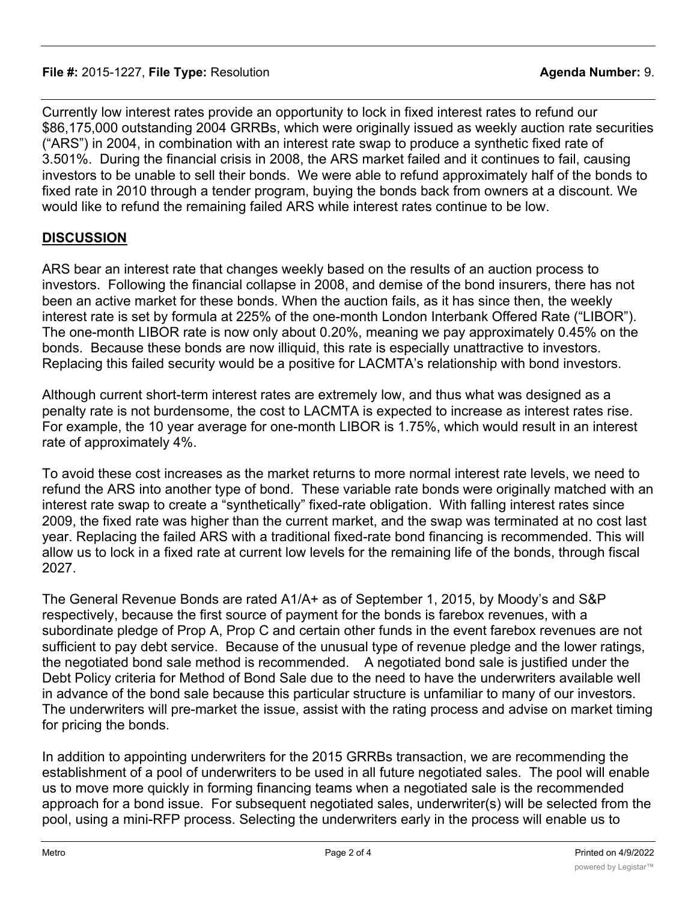Currently low interest rates provide an opportunity to lock in fixed interest rates to refund our \$86,175,000 outstanding 2004 GRRBs, which were originally issued as weekly auction rate securities ("ARS") in 2004, in combination with an interest rate swap to produce a synthetic fixed rate of 3.501%. During the financial crisis in 2008, the ARS market failed and it continues to fail, causing investors to be unable to sell their bonds. We were able to refund approximately half of the bonds to fixed rate in 2010 through a tender program, buying the bonds back from owners at a discount. We would like to refund the remaining failed ARS while interest rates continue to be low.

#### **DISCUSSION**

ARS bear an interest rate that changes weekly based on the results of an auction process to investors. Following the financial collapse in 2008, and demise of the bond insurers, there has not been an active market for these bonds. When the auction fails, as it has since then, the weekly interest rate is set by formula at 225% of the one-month London Interbank Offered Rate ("LIBOR"). The one-month LIBOR rate is now only about 0.20%, meaning we pay approximately 0.45% on the bonds. Because these bonds are now illiquid, this rate is especially unattractive to investors. Replacing this failed security would be a positive for LACMTA's relationship with bond investors.

Although current short-term interest rates are extremely low, and thus what was designed as a penalty rate is not burdensome, the cost to LACMTA is expected to increase as interest rates rise. For example, the 10 year average for one-month LIBOR is 1.75%, which would result in an interest rate of approximately 4%.

To avoid these cost increases as the market returns to more normal interest rate levels, we need to refund the ARS into another type of bond. These variable rate bonds were originally matched with an interest rate swap to create a "synthetically" fixed-rate obligation. With falling interest rates since 2009, the fixed rate was higher than the current market, and the swap was terminated at no cost last year. Replacing the failed ARS with a traditional fixed-rate bond financing is recommended. This will allow us to lock in a fixed rate at current low levels for the remaining life of the bonds, through fiscal 2027.

The General Revenue Bonds are rated A1/A+ as of September 1, 2015, by Moody's and S&P respectively, because the first source of payment for the bonds is farebox revenues, with a subordinate pledge of Prop A, Prop C and certain other funds in the event farebox revenues are not sufficient to pay debt service. Because of the unusual type of revenue pledge and the lower ratings, the negotiated bond sale method is recommended. A negotiated bond sale is justified under the Debt Policy criteria for Method of Bond Sale due to the need to have the underwriters available well in advance of the bond sale because this particular structure is unfamiliar to many of our investors. The underwriters will pre-market the issue, assist with the rating process and advise on market timing for pricing the bonds.

In addition to appointing underwriters for the 2015 GRRBs transaction, we are recommending the establishment of a pool of underwriters to be used in all future negotiated sales. The pool will enable us to move more quickly in forming financing teams when a negotiated sale is the recommended approach for a bond issue. For subsequent negotiated sales, underwriter(s) will be selected from the pool, using a mini-RFP process. Selecting the underwriters early in the process will enable us to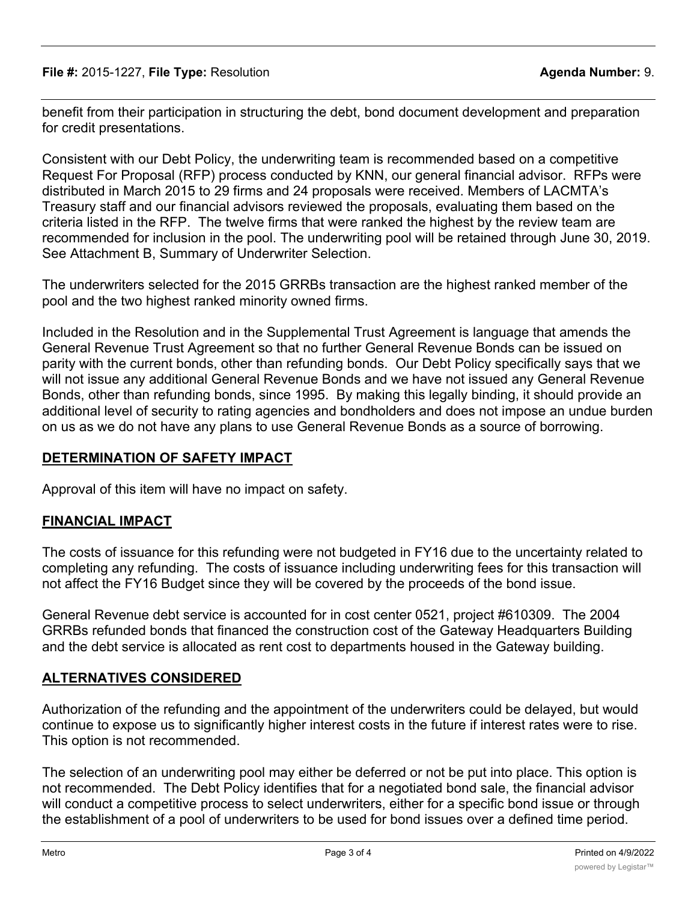benefit from their participation in structuring the debt, bond document development and preparation for credit presentations.

Consistent with our Debt Policy, the underwriting team is recommended based on a competitive Request For Proposal (RFP) process conducted by KNN, our general financial advisor. RFPs were distributed in March 2015 to 29 firms and 24 proposals were received. Members of LACMTA's Treasury staff and our financial advisors reviewed the proposals, evaluating them based on the criteria listed in the RFP. The twelve firms that were ranked the highest by the review team are recommended for inclusion in the pool. The underwriting pool will be retained through June 30, 2019. See Attachment B, Summary of Underwriter Selection.

The underwriters selected for the 2015 GRRBs transaction are the highest ranked member of the pool and the two highest ranked minority owned firms.

Included in the Resolution and in the Supplemental Trust Agreement is language that amends the General Revenue Trust Agreement so that no further General Revenue Bonds can be issued on parity with the current bonds, other than refunding bonds. Our Debt Policy specifically says that we will not issue any additional General Revenue Bonds and we have not issued any General Revenue Bonds, other than refunding bonds, since 1995. By making this legally binding, it should provide an additional level of security to rating agencies and bondholders and does not impose an undue burden on us as we do not have any plans to use General Revenue Bonds as a source of borrowing.

### **DETERMINATION OF SAFETY IMPACT**

Approval of this item will have no impact on safety.

## **FINANCIAL IMPACT**

The costs of issuance for this refunding were not budgeted in FY16 due to the uncertainty related to completing any refunding. The costs of issuance including underwriting fees for this transaction will not affect the FY16 Budget since they will be covered by the proceeds of the bond issue.

General Revenue debt service is accounted for in cost center 0521, project #610309. The 2004 GRRBs refunded bonds that financed the construction cost of the Gateway Headquarters Building and the debt service is allocated as rent cost to departments housed in the Gateway building.

## **ALTERNATIVES CONSIDERED**

Authorization of the refunding and the appointment of the underwriters could be delayed, but would continue to expose us to significantly higher interest costs in the future if interest rates were to rise. This option is not recommended.

The selection of an underwriting pool may either be deferred or not be put into place. This option is not recommended. The Debt Policy identifies that for a negotiated bond sale, the financial advisor will conduct a competitive process to select underwriters, either for a specific bond issue or through the establishment of a pool of underwriters to be used for bond issues over a defined time period.